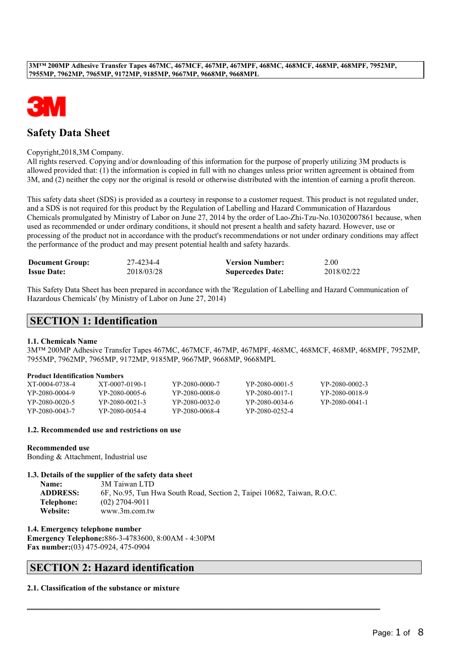

# **Safety Data Sheet**

### Copyright,2018,3M Company.

All rights reserved. Copying and/or downloading of this information for the purpose of properly utilizing 3M products is allowed provided that: (1) the information is copied in full with no changes unless prior written agreement is obtained from 3M, and (2) neither the copy nor the original is resold or otherwise distributed with the intention of earning a profit thereon.

This safety data sheet (SDS) is provided as a courtesy in response to a customer request. This product is not regulated under, and a SDS is not required for this product by the Regulation of Labelling and Hazard Communication of Hazardous Chemicals promulgated by Ministry of Labor on June 27, 2014 by the order of Lao-Zhi-Tzu-No.10302007861 because, when used as recommended or under ordinary conditions, it should not present a health and safety hazard. However, use or processing of the product not in accordance with the product's recommendations or not under ordinary conditions may affect the performance of the product and may present potential health and safety hazards.

| <b>Document Group:</b> | 27-4234-4  | <b>Version Number:</b>  | 2.00       |
|------------------------|------------|-------------------------|------------|
| <b>Issue Date:</b>     | 2018/03/28 | <b>Supercedes Date:</b> | 2018/02/22 |

This Safety Data Sheet has been prepared in accordance with the 'Regulation of Labelling and Hazard Communication of Hazardous Chemicals' (by Ministry of Labor on June 27, 2014)

# **SECTION 1: Identification**

### **1.1. Chemicals Name**

3M™ 200MP Adhesive Transfer Tapes 467MC, 467MCF, 467MP, 467MPF, 468MC, 468MCF, 468MP, 468MPF, 7952MP, 7955MP, 7962MP, 7965MP, 9172MP, 9185MP, 9667MP, 9668MP, 9668MPL

### **Product Identification Numbers**

| XT-0004-0738-4 | XT-0007-0190-1 | YP-2080-0000-7 | YP-2080-0001-5 | YP-2080-0002-3 |
|----------------|----------------|----------------|----------------|----------------|
| YP-2080-0004-9 | YP-2080-0005-6 | YP-2080-0008-0 | YP-2080-0017-1 | YP-2080-0018-9 |
| YP-2080-0020-5 | YP-2080-0021-3 | YP-2080-0032-0 | YP-2080-0034-6 | YP-2080-0041-1 |
| YP-2080-0043-7 | YP-2080-0054-4 | YP-2080-0068-4 | YP-2080-0252-4 |                |

### **1.2. Recommended use and restrictions on use**

### **Recommended use**

Bonding & Attachment, Industrial use

### **1.3. Details of the supplier of the safety data sheet**

| Name:           | 3M Taiwan LTD                                                          |
|-----------------|------------------------------------------------------------------------|
| <b>ADDRESS:</b> | 6F, No.95, Tun Hwa South Road, Section 2, Taipei 10682, Taiwan, R.O.C. |
| Telephone:      | $(02)$ 2704-9011                                                       |
| Website:        | www.3m.com.tw                                                          |

 $\_$  , and the set of the set of the set of the set of the set of the set of the set of the set of the set of the set of the set of the set of the set of the set of the set of the set of the set of the set of the set of th

**1.4. Emergency telephone number**

**Emergency Telephone:**886-3-4783600, 8:00AM - 4:30PM **Fax number:**(03) 475-0924, 475-0904

# **SECTION 2: Hazard identification**

### **2.1. Classification of the substance or mixture**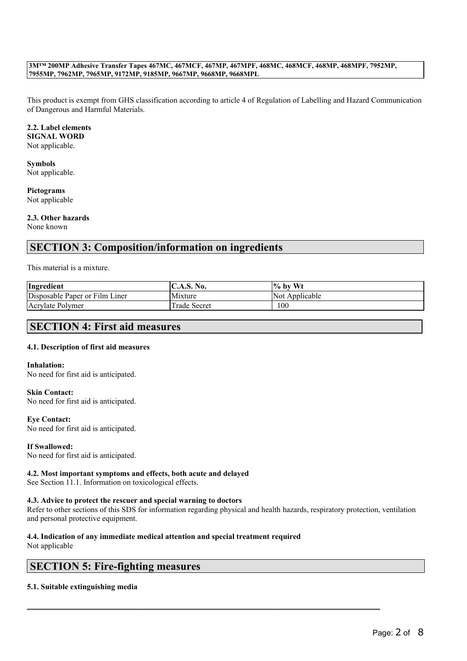This product is exempt from GHS classification according to article 4 of Regulation of Labelling and Hazard Communication of Dangerous and Harmful Materials.

### **2.2. Label elements**

**SIGNAL WORD** Not applicable.

### **Symbols** Not applicable.

**Pictograms** Not applicable

### **2.3. Other hazards**

None known

# **SECTION 3: Composition/information on ingredients**

### This material is a mixture.

| Ingredient                     | $\mathsf{IC.A.S.}\$ No. | $\frac{1}{6}$ by Wt |
|--------------------------------|-------------------------|---------------------|
| Disposable Paper or Film Liner | Mixture                 | Not Applicable      |
| Acrylate Polymer               | Trade Secret            | 100                 |

# **SECTION 4: First aid measures**

### **4.1. Description of first aid measures**

### **Inhalation:**

No need for first aid is anticipated.

**Skin Contact:** No need for first aid is anticipated.

### **Eye Contact:**

No need for first aid is anticipated.

### **If Swallowed:**

No need for first aid is anticipated.

### **4.2. Most important symptoms and effects, both acute and delayed**

See Section 11.1. Information on toxicological effects.

### **4.3. Advice to protect the rescuer and special warning to doctors**

Refer to other sections of this SDS for information regarding physical and health hazards, respiratory protection, ventilation and personal protective equipment.

 $\_$  , and the set of the set of the set of the set of the set of the set of the set of the set of the set of the set of the set of the set of the set of the set of the set of the set of the set of the set of the set of th

### **4.4. Indication of any immediate medical attention and special treatment required**

Not applicable

# **SECTION 5: Fire-fighting measures**

### **5.1. Suitable extinguishing media**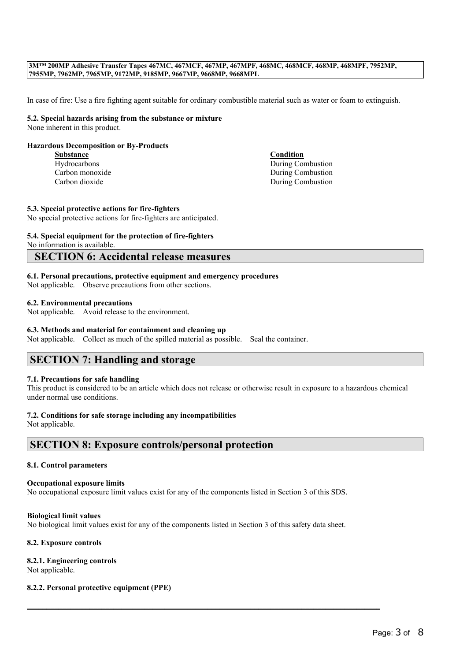In case of fire: Use a fire fighting agent suitable for ordinary combustible material such as water or foam to extinguish.

### **5.2. Special hazards arising from the substance or mixture** None inherent in this product.

### **Hazardous Decomposition or By-Products**

**Substance Condition**

Hydrocarbons During Combustion Carbon monoxide During Combustion Carbon dioxide During Combustion

### **5.3. Special protective actions for fire-fighters**

No special protective actions for fire-fighters are anticipated.

# **5.4. Special equipment for the protection of fire-fighters**

No information is available.

# **SECTION 6: Accidental release measures**

### **6.1. Personal precautions, protective equipment and emergency procedures**

Not applicable. Observe precautions from other sections.

### **6.2. Environmental precautions**

Not applicable. Avoid release to the environment.

### **6.3. Methods and material for containment and cleaning up**

Not applicable. Collect as much of the spilled material as possible. Seal the container.

# **SECTION 7: Handling and storage**

### **7.1. Precautions for safe handling**

This product is considered to be an article which does not release or otherwise result in exposure to a hazardous chemical under normal use conditions.

### **7.2. Conditions for safe storage including any incompatibilities**

Not applicable.

## **SECTION 8: Exposure controls/personal protection**

### **8.1. Control parameters**

### **Occupational exposure limits**

No occupational exposure limit values exist for any of the components listed in Section 3 of this SDS.

### **Biological limit values**

No biological limit values exist for any of the components listed in Section 3 of this safety data sheet.

 $\_$  , and the set of the set of the set of the set of the set of the set of the set of the set of the set of the set of the set of the set of the set of the set of the set of the set of the set of the set of the set of th

### **8.2. Exposure controls**

### **8.2.1. Engineering controls**

Not applicable.

### **8.2.2. Personal protective equipment (PPE)**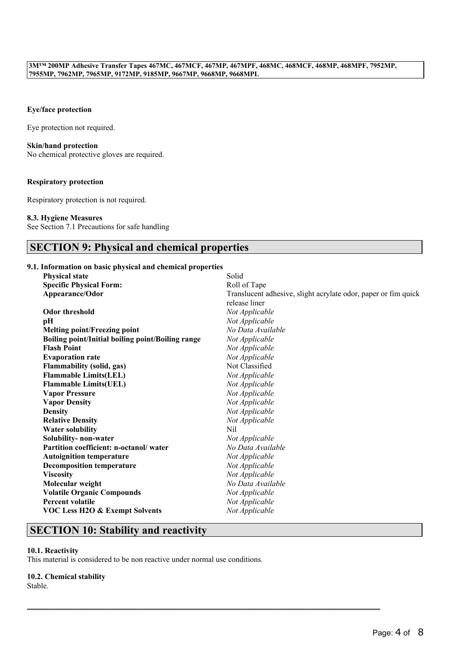### **Eye/face protection**

Eye protection not required.

### **Skin/hand protection**

No chemical protective gloves are required.

### **Respiratory protection**

Respiratory protection is not required.

### **8.3. Hygiene Measures**

See Section 7.1 Precautions for safe handling

# **SECTION 9: Physical and chemical properties**

### **9.1. Information on basic physical and chemical properties**

| <b>Physical state</b>                             | Solid                                                          |
|---------------------------------------------------|----------------------------------------------------------------|
| <b>Specific Physical Form:</b>                    | Roll of Tape                                                   |
| Appearance/Odor                                   | Translucent adhesive, slight acrylate odor, paper or fim quick |
|                                                   | release liner                                                  |
| <b>Odor threshold</b>                             | Not Applicable                                                 |
| рH                                                | Not Applicable                                                 |
| <b>Melting point/Freezing point</b>               | No Data Available                                              |
| Boiling point/Initial boiling point/Boiling range | Not Applicable                                                 |
| <b>Flash Point</b>                                | Not Applicable                                                 |
| <b>Evaporation rate</b>                           | Not Applicable                                                 |
| <b>Flammability (solid, gas)</b>                  | Not Classified                                                 |
| <b>Flammable Limits(LEL)</b>                      | Not Applicable                                                 |
| <b>Flammable Limits(UEL)</b>                      | Not Applicable                                                 |
| <b>Vapor Pressure</b>                             | Not Applicable                                                 |
| <b>Vapor Density</b>                              | Not Applicable                                                 |
| <b>Density</b>                                    | Not Applicable                                                 |
| <b>Relative Density</b>                           | Not Applicable                                                 |
| <b>Water solubility</b>                           | Nil                                                            |
| Solubility- non-water                             | Not Applicable                                                 |
| Partition coefficient: n-octanol/water            | No Data Available                                              |
| <b>Autoignition temperature</b>                   | Not Applicable                                                 |
| <b>Decomposition temperature</b>                  | Not Applicable                                                 |
| <b>Viscosity</b>                                  | Not Applicable                                                 |
| Molecular weight                                  | No Data Available                                              |
| <b>Volatile Organic Compounds</b>                 | Not Applicable                                                 |
| <b>Percent volatile</b>                           | Not Applicable                                                 |
| <b>VOC Less H2O &amp; Exempt Solvents</b>         | Not Applicable                                                 |
|                                                   |                                                                |

# **SECTION 10: Stability and reactivity**

### **10.1. Reactivity**

This material is considered to be non reactive under normal use conditions.

 $\_$  , and the set of the set of the set of the set of the set of the set of the set of the set of the set of the set of the set of the set of the set of the set of the set of the set of the set of the set of the set of th

### **10.2. Chemical stability**

Stable.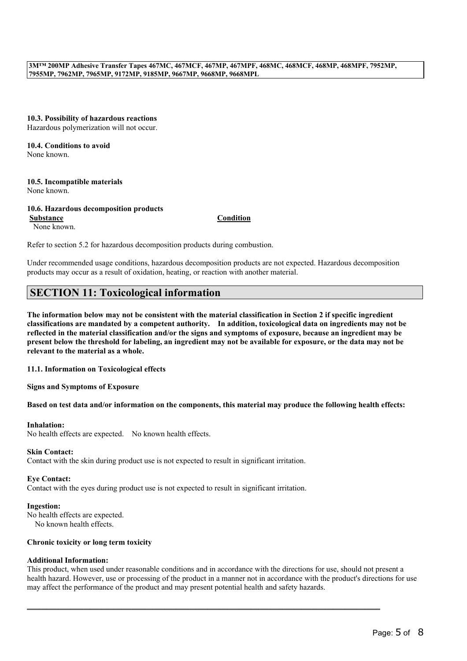**10.3. Possibility of hazardous reactions** Hazardous polymerization will not occur.

# **10.4. Conditions to avoid**

None known.

**10.5. Incompatible materials** None known.

**10.6. Hazardous decomposition products**

None known.

**Substance Condition**

Refer to section 5.2 for hazardous decomposition products during combustion.

Under recommended usage conditions, hazardous decomposition products are not expected. Hazardous decomposition products may occur as a result of oxidation, heating, or reaction with another material.

# **SECTION 11: Toxicological information**

The information below may not be consistent with the material classification in Section 2 if specific ingredient **classifications are mandated by a competent authority. In addition, toxicological data on ingredients may not be** reflected in the material classification and/or the signs and symptoms of exposure, because an ingredient may be present below the threshold for labeling, an ingredient may not be available for exposure, or the data may not be **relevant to the material as a whole.**

### **11.1. Information on Toxicological effects**

### **Signs and Symptoms of Exposure**

Based on test data and/or information on the components, this material may produce the following health effects:

### **Inhalation:**

No health effects are expected. No known health effects.

### **Skin Contact:**

Contact with the skin during product use is not expected to result in significant irritation.

### **Eye Contact:**

Contact with the eyes during product use is not expected to result in significant irritation.

### **Ingestion:**

No health effects are expected. No known health effects.

### **Chronic toxicity or long term toxicity**

### **Additional Information:**

This product, when used under reasonable conditions and in accordance with the directions for use, should not present a health hazard. However, use or processing of the product in a manner not in accordance with the product's directions for use may affect the performance of the product and may present potential health and safety hazards.

 $\_$  , and the set of the set of the set of the set of the set of the set of the set of the set of the set of the set of the set of the set of the set of the set of the set of the set of the set of the set of the set of th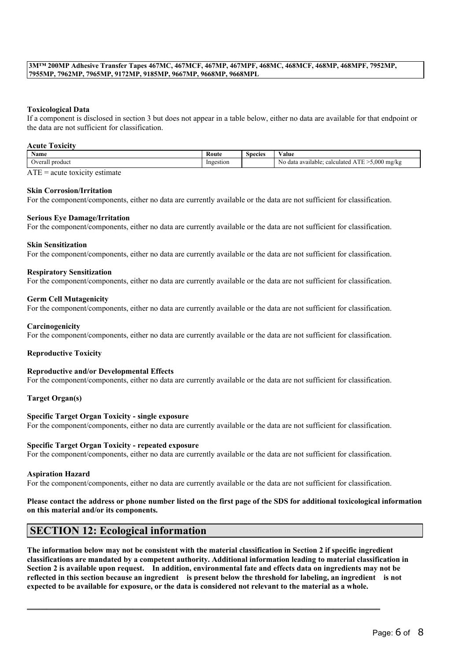### **Toxicological Data**

If a component is disclosed in section 3 but does not appear in a table below, either no data are available for that endpoint or the data are not sufficient for classification.

### **Acute Toxicity**

| <b>Name</b>       | Route     | $\sim$<br>Species | $ -$<br>'alue                                                                                               |
|-------------------|-----------|-------------------|-------------------------------------------------------------------------------------------------------------|
| product<br>)veral | Ingestion |                   | $-5.000$<br><b>CONTRACT</b><br>$J$ mg/k<br>calculated<br>available:<br>data<br>N <sub>o</sub><br>NU.<br>. . |

 $ATE = acute$  toxicity estimate

### **Skin Corrosion/Irritation**

For the component/components, either no data are currently available or the data are not sufficient for classification.

### **Serious Eye Damage/Irritation**

For the component/components, either no data are currently available or the data are not sufficient for classification.

#### **Skin Sensitization**

For the component/components, either no data are currently available or the data are not sufficient for classification.

### **Respiratory Sensitization**

For the component/components, either no data are currently available or the data are not sufficient for classification.

### **Germ Cell Mutagenicity**

For the component/components, either no data are currently available or the data are not sufficient for classification.

#### **Carcinogenicity**

For the component/components, either no data are currently available or the data are not sufficient for classification.

### **Reproductive Toxicity**

### **Reproductive and/or Developmental Effects**

For the component/components, either no data are currently available or the data are not sufficient for classification.

### **Target Organ(s)**

### **Specific Target Organ Toxicity - single exposure** For the component/components, either no data are currently available or the data are not sufficient for classification.

### **Specific Target Organ Toxicity - repeated exposure**

For the component/components, either no data are currently available or the data are not sufficient for classification.

#### **Aspiration Hazard**

For the component/components, either no data are currently available or the data are not sufficient for classification.

### Please contact the address or phone number listed on the first page of the SDS for additional toxicological information **on this material and/or its components.**

### **SECTION 12: Ecological information**

The information below may not be consistent with the material classification in Section 2 if specific ingredient **classifications are mandated by a competent authority. Additional information leading to material classification in** Section 2 is available upon request. In addition, environmental fate and effects data on ingredients may not be reflected in this section because an ingredient is present below the threshold for labeling, an ingredient is not expected to be available for exposure, or the data is considered not relevant to the material as a whole.

 $\_$  , and the set of the set of the set of the set of the set of the set of the set of the set of the set of the set of the set of the set of the set of the set of the set of the set of the set of the set of the set of th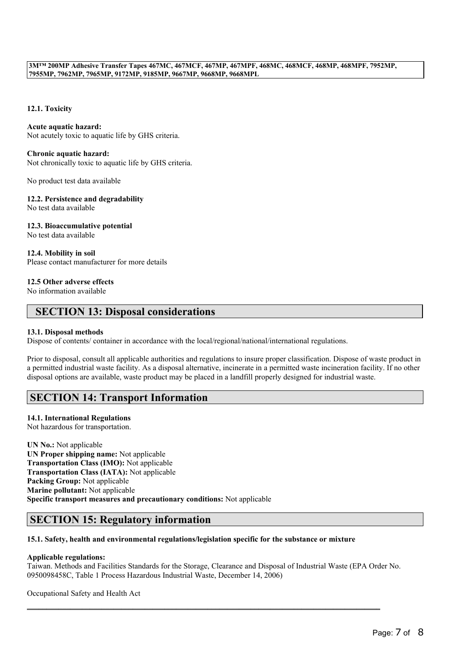### **12.1. Toxicity**

### **Acute aquatic hazard:**

Not acutely toxic to aquatic life by GHS criteria.

### **Chronic aquatic hazard:**

Not chronically toxic to aquatic life by GHS criteria.

No product test data available

### **12.2. Persistence and degradability**

No test data available

### **12.3. Bioaccumulative potential**

No test data available

### **12.4. Mobility in soil** Please contact manufacturer for more details

### **12.5 Other adverse effects**

No information available

# **SECTION 13: Disposal considerations**

### **13.1. Disposal methods**

Dispose of contents/ container in accordance with the local/regional/national/international regulations.

Prior to disposal, consult all applicable authorities and regulations to insure proper classification. Dispose of waste product in a permitted industrial waste facility. As a disposal alternative, incinerate in a permitted waste incineration facility. If no other disposal options are available, waste product may be placed in a landfill properly designed for industrial waste.

# **SECTION 14: Transport Information**

### **14.1. International Regulations**

Not hazardous for transportation.

**UN No.:** Not applicable **UN Proper shipping name:** Not applicable **Transportation Class (IMO):** Not applicable **Transportation Class (IATA):** Not applicable **Packing Group:** Not applicable **Marine pollutant:** Not applicable **Specific transport measures and precautionary conditions:** Not applicable

# **SECTION 15: Regulatory information**

### **15.1. Safety, health and environmental regulations/legislation specific for the substance or mixture**

### **Applicable regulations:**

Taiwan. Methods and Facilities Standards for the Storage, Clearance and Disposal of Industrial Waste (EPA Order No. 0950098458C, Table 1 Process Hazardous Industrial Waste, December 14, 2006)

 $\_$  , and the set of the set of the set of the set of the set of the set of the set of the set of the set of the set of the set of the set of the set of the set of the set of the set of the set of the set of the set of th

Occupational Safety and Health Act